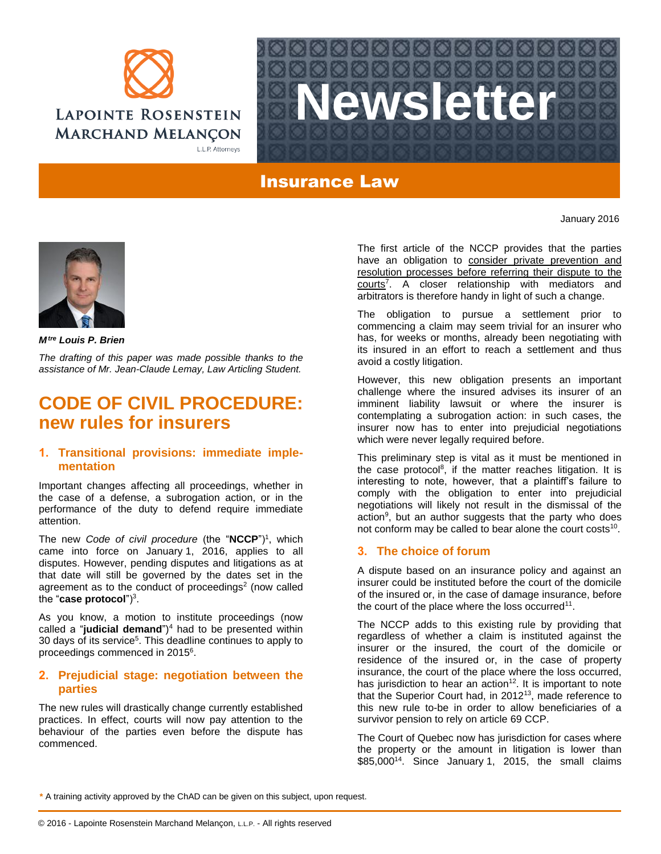



# Insurance Law

January 2016



*Mtre Louis P. Brien*

*The drafting of this paper was made possible thanks to the assistance of Mr. Jean-Claude Lemay, Law Articling Student.*

# **CODE OF CIVIL PROCEDURE: new rules for insurers**

# **1. Transitional provisions: immediate implementation**

Important changes affecting all proceedings, whether in the case of a defense, a subrogation action, or in the performance of the duty to defend require immediate attention.

The new *Code of civil procedure* (the "**NCCP**")<sup>1</sup> , which came into force on January 1, 2016, applies to all disputes. However, pending disputes and litigations as at that date will still be governed by the dates set in the agreement as to the conduct of proceedings<sup>2</sup> (now called the "**case protocol**")<sup>3</sup>.

As you know, a motion to institute proceedings (now called a "**judicial demand**") <sup>4</sup> had to be presented within 30 days of its service<sup>5</sup>. This deadline continues to apply to proceedings commenced in 2015<sup>6</sup>.

## **2. Prejudicial stage: negotiation between the parties**

The new rules will drastically change currently established practices. In effect, courts will now pay attention to the behaviour of the parties even before the dispute has commenced.

The first article of the NCCP provides that the parties have an obligation to consider private prevention and resolution processes before referring their dispute to the courts<sup>7</sup>. A closer relationship with mediators and arbitrators is therefore handy in light of such a change.

The obligation to pursue a settlement prior to commencing a claim may seem trivial for an insurer who has, for weeks or months, already been negotiating with its insured in an effort to reach a settlement and thus avoid a costly litigation.

However, this new obligation presents an important challenge where the insured advises its insurer of an imminent liability lawsuit or where the insurer is contemplating a subrogation action: in such cases, the insurer now has to enter into prejudicial negotiations which were never legally required before.

This preliminary step is vital as it must be mentioned in the case protocol<sup>8</sup>, if the matter reaches litigation. It is interesting to note, however, that a plaintiff's failure to comply with the obligation to enter into prejudicial negotiations will likely not result in the dismissal of the action<sup>9</sup>, but an author suggests that the party who does not conform may be called to bear alone the court costs<sup>10</sup>.

# **3. The choice of forum**

A dispute based on an insurance policy and against an insurer could be instituted before the court of the domicile of the insured or, in the case of damage insurance, before the court of the place where the loss occurred<sup>11</sup>.

The NCCP adds to this existing rule by providing that regardless of whether a claim is instituted against the insurer or the insured, the court of the domicile or residence of the insured or, in the case of property insurance, the court of the place where the loss occurred, has jurisdiction to hear an action<sup>12</sup>. It is important to note that the Superior Court had, in 2012<sup>13</sup>, made reference to this new rule to-be in order to allow beneficiaries of a survivor pension to rely on article 69 CCP.

The Court of Quebec now has jurisdiction for cases where the property or the amount in litigation is lower than \$85,000<sup>14</sup>. Since January 1, 2015, the small claims

**\*** A training activity approved by the ChAD can be given on this subject, upon request.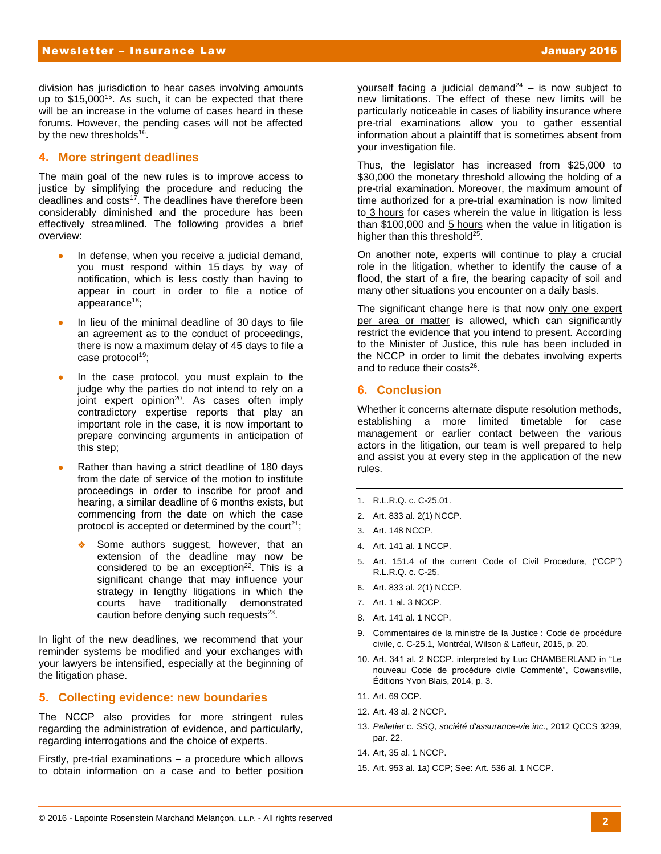#### Newsletter – Insurance Law January 2016

division has jurisdiction to hear cases involving amounts up to  $$15,000^{15}$ . As such, it can be expected that there will be an increase in the volume of cases heard in these forums. However, the pending cases will not be affected by the new thresholds<sup>16</sup>.

#### **4. More stringent deadlines**

The main goal of the new rules is to improve access to justice by simplifying the procedure and reducing the deadlines and costs<sup>17</sup>. The deadlines have therefore been considerably diminished and the procedure has been effectively streamlined. The following provides a brief overview:

- In defense, when you receive a judicial demand, you must respond within 15 days by way of notification, which is less costly than having to appear in court in order to file a notice of appearance<sup>18</sup>;
- In lieu of the minimal deadline of 30 days to file an agreement as to the conduct of proceedings, there is now a maximum delay of 45 days to file a case protocol<sup>19</sup>;
- In the case protocol, you must explain to the judge why the parties do not intend to rely on a joint expert opinion $20$ . As cases often imply contradictory expertise reports that play an important role in the case, it is now important to prepare convincing arguments in anticipation of this step;
- Rather than having a strict deadline of 180 days from the date of service of the motion to institute proceedings in order to inscribe for proof and hearing, a similar deadline of 6 months exists, but commencing from the date on which the case protocol is accepted or determined by the court<sup>21</sup>;
	- Some authors suggest, however, that an extension of the deadline may now be considered to be an exception $22$ . This is a significant change that may influence your strategy in lengthy litigations in which the courts have traditionally demonstrated caution before denying such requests $^{23}$ .

In light of the new deadlines, we recommend that your reminder systems be modified and your exchanges with your lawyers be intensified, especially at the beginning of the litigation phase.

#### **5. Collecting evidence: new boundaries**

The NCCP also provides for more stringent rules regarding the administration of evidence, and particularly, regarding interrogations and the choice of experts.

Firstly, pre-trial examinations – a procedure which allows to obtain information on a case and to better position yourself facing a judicial demand<sup>24</sup> – is now subject to new limitations. The effect of these new limits will be particularly noticeable in cases of liability insurance where pre-trial examinations allow you to gather essential information about a plaintiff that is sometimes absent from your investigation file.

Thus, the legislator has increased from \$25,000 to \$30,000 the monetary threshold allowing the holding of a pre-trial examination. Moreover, the maximum amount of time authorized for a pre-trial examination is now limited to 3 hours for cases wherein the value in litigation is less than \$100,000 and 5 hours when the value in litigation is higher than this threshold<sup>25</sup>.

On another note, experts will continue to play a crucial role in the litigation, whether to identify the cause of a flood, the start of a fire, the bearing capacity of soil and many other situations you encounter on a daily basis.

The significant change here is that now only one expert per area or matter is allowed, which can significantly restrict the evidence that you intend to present. According to the Minister of Justice, this rule has been included in the NCCP in order to limit the debates involving experts and to reduce their costs<sup>26</sup>.

### **6. Conclusion**

Whether it concerns alternate dispute resolution methods, establishing a more limited timetable for case management or earlier contact between the various actors in the litigation, our team is well prepared to help and assist you at every step in the application of the new rules.

- 1. R.L.R.Q. c. C-25.01.
- 2. Art. 833 al. 2(1) NCCP.
- 3. Art. 148 NCCP.
- 4. Art. 141 al. 1 NCCP.
- 5. Art. 151.4 of the current Code of Civil Procedure, ("CCP") R.L.R.Q. c. C-25.
- 6. Art. 833 al. 2(1) NCCP.
- 7. Art. 1 al. 3 NCCP.
- 8. Art. 141 al. 1 NCCP.
- 9. Commentaires de la ministre de la Justice : Code de procédure civile, c. C-25.1, Montréal, Wilson & Lafleur, 2015, p. 20.
- 10. Art. 341 al. 2 NCCP. interpreted by Luc CHAMBERLAND in "Le nouveau Code de procédure civile Commenté", Cowansville, Éditions Yvon Blais, 2014, p. 3.
- 11. Art. 69 CCP.
- 12. Art. 43 al. 2 NCCP.
- 13. *Pelletier* c. *SSQ, société d'assurance-vie inc.*, 2012 QCCS 3239, par. 22.
- 14. Art, 35 al. 1 NCCP.
- 15. Art. 953 al. 1a) CCP; See: Art. 536 al. 1 NCCP.